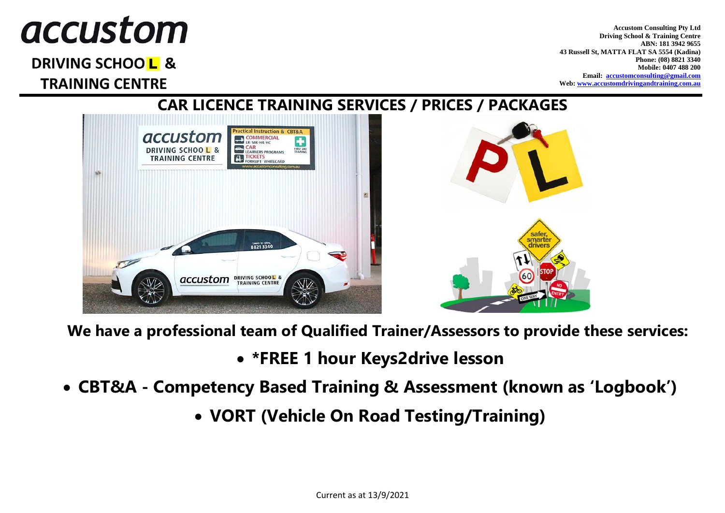# *accustom*

DRIVING SCHOOL & **TRAINING CENTRE** 

**Accustom Consulting Pty Ltd Driving School & Training Centre ABN: 181 3942 9655 43 Russell St, MATTA FLAT SA 5554 (Kadina) Phone: (08) 8821 3340 Mobile: 0407 488 200 Email: [accustomconsulting@gmail.com](mailto:accustomconsulting@gmail.com) Web: [www.accustomdrivingandtraining.com.au](http://www.accustomdrivingandtraining.com.au/)**



**We have a professional team of Qualified Trainer/Assessors to provide these services:**

- **\*FREE 1 hour Keys2drive lesson**
- **CBT&A - Competency Based Training & Assessment (known as 'Logbook')**
	- **VORT (Vehicle On Road Testing/Training)**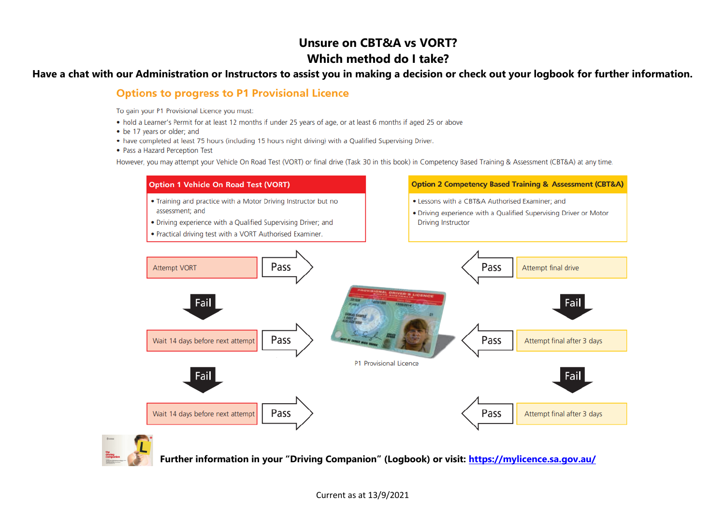# **Unsure on CBT&A vs VORT? Which method do I take?**

#### **Have a chat with our Administration or Instructors to assist you in making a decision or check out your logbook for further information.**

## **Options to progress to P1 Provisional Licence**

To gain your P1 Provisional Licence you must:

- . hold a Learner's Permit for at least 12 months if under 25 years of age, or at least 6 months if aged 25 or above
- . be 17 years or older: and
- have completed at least 75 hours (including 15 hours night driving) with a Qualified Supervising Driver.
- Pass a Hazard Perception Test

However, you may attempt your Vehicle On Road Test (VORT) or final drive (Task 30 in this book) in Competency Based Training & Assessment (CBT&A) at any time.





**Further information in your "Driving Companion" (Logbook) or visit: <https://mylicence.sa.gov.au/>**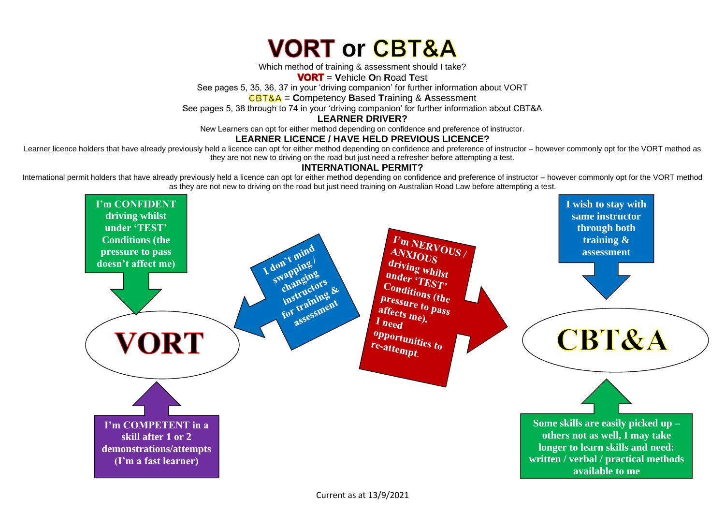

Which method of training & assessment should I take?

= **V**ehicle **O**n **R**oad **T**est

See pages 5, 35, 36, 37 in your 'driving companion' for further information about VORT

= **C**ompetency **B**ased **T**raining & **A**ssessment

See pages 5, 38 through to 74 in your 'driving companion' for further information about CBT&A

**LEARNER DRIVER?**

New Learners can opt for either method depending on confidence and preference of instructor.

#### **LEARNER LICENCE / HAVE HELD PREVIOUS LICENCE?**

Learner licence holders that have already previously held a licence can opt for either method depending on confidence and preference of instructor – however commonly opt for the VORT method as they are not new to driving on the road but just need a refresher before attempting a test.

### **INTERNATIONAL PERMIT?**

International permit holders that have already previously held a licence can opt for either method depending on confidence and preference of instructor – however commonly opt for the VORT method as they are not new to driving on the road but just need training on Australian Road Law before attempting a test.

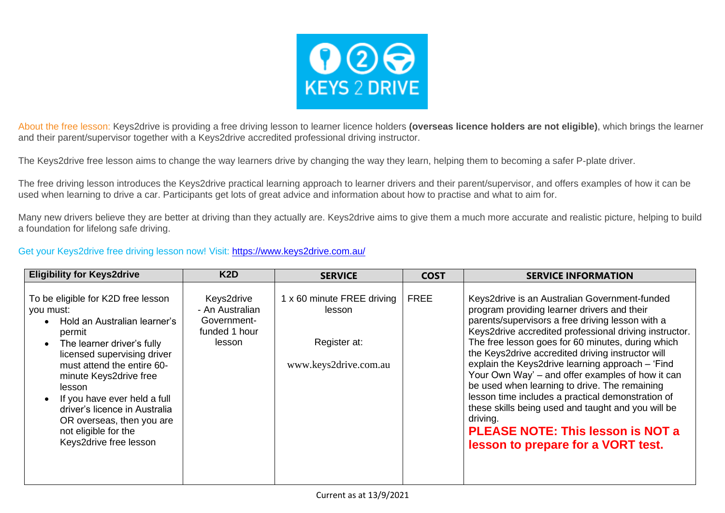

About the free lesson: Keys2drive is providing a free driving lesson to learner licence holders **(overseas licence holders are not eligible)**, which brings the learner and their parent/supervisor together with a Keys2drive accredited professional driving instructor.

The Keys2drive free lesson aims to change the way learners drive by changing the way they learn, helping them to becoming a safer P-plate driver.

The free driving lesson introduces the Keys2drive practical learning approach to learner drivers and their parent/supervisor, and offers examples of how it can be used when learning to drive a car. Participants get lots of great advice and information about how to practise and what to aim for.

Many new drivers believe they are better at driving than they actually are. Keys2drive aims to give them a much more accurate and realistic picture, helping to build a foundation for lifelong safe driving.

#### Get your Keys2drive [free driving lesson now!](https://www.keys2drive.com.au/learners/create) Visit:<https://www.keys2drive.com.au/>

| <b>Eligibility for Keys2drive</b>                                                                                                                                                                                                                                                                                                                                        | K <sub>2</sub> D                                                        | <b>SERVICE</b>                                                                | <b>COST</b> | <b>SERVICE INFORMATION</b>                                                                                                                                                                                                                                                                                                                                                                                                                                                                                                                                                                                                                                                             |
|--------------------------------------------------------------------------------------------------------------------------------------------------------------------------------------------------------------------------------------------------------------------------------------------------------------------------------------------------------------------------|-------------------------------------------------------------------------|-------------------------------------------------------------------------------|-------------|----------------------------------------------------------------------------------------------------------------------------------------------------------------------------------------------------------------------------------------------------------------------------------------------------------------------------------------------------------------------------------------------------------------------------------------------------------------------------------------------------------------------------------------------------------------------------------------------------------------------------------------------------------------------------------------|
| To be eligible for K2D free lesson<br>you must:<br>Hold an Australian learner's<br>permit<br>The learner driver's fully<br>licensed supervising driver<br>must attend the entire 60-<br>minute Keys2drive free<br>lesson<br>If you have ever held a full<br>driver's licence in Australia<br>OR overseas, then you are<br>not eligible for the<br>Keys2drive free lesson | Keys2drive<br>- An Australian<br>Government-<br>funded 1 hour<br>lesson | 1 x 60 minute FREE driving<br>lesson<br>Register at:<br>www.keys2drive.com.au | <b>FREE</b> | Keys2drive is an Australian Government-funded<br>program providing learner drivers and their<br>parents/supervisors a free driving lesson with a<br>Keys2drive accredited professional driving instructor.<br>The free lesson goes for 60 minutes, during which<br>the Keys2drive accredited driving instructor will<br>explain the Keys2drive learning approach - 'Find<br>Your Own Way' – and offer examples of how it can<br>be used when learning to drive. The remaining<br>lesson time includes a practical demonstration of<br>these skills being used and taught and you will be<br>driving.<br><b>PLEASE NOTE: This lesson is NOT a</b><br>lesson to prepare for a VORT test. |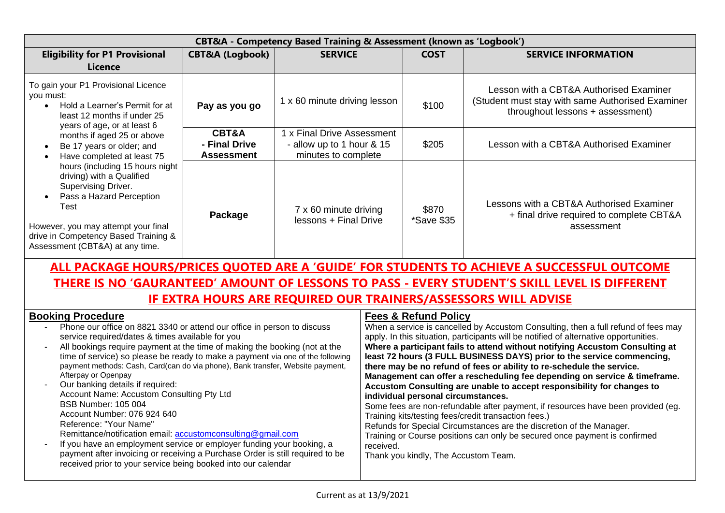| <b>CBT&amp;A</b> - Competency Based Training & Assessment (known as 'Logbook')                                                                                                                                                                                                                                                                                                                                                                                                         |                                             |                                                                                |                     |                                                                                                                                 |  |
|----------------------------------------------------------------------------------------------------------------------------------------------------------------------------------------------------------------------------------------------------------------------------------------------------------------------------------------------------------------------------------------------------------------------------------------------------------------------------------------|---------------------------------------------|--------------------------------------------------------------------------------|---------------------|---------------------------------------------------------------------------------------------------------------------------------|--|
| <b>Eligibility for P1 Provisional</b>                                                                                                                                                                                                                                                                                                                                                                                                                                                  | <b>CBT&amp;A (Logbook)</b>                  | <b>SERVICE</b>                                                                 |                     | <b>SERVICE INFORMATION</b>                                                                                                      |  |
| Licence                                                                                                                                                                                                                                                                                                                                                                                                                                                                                |                                             |                                                                                |                     |                                                                                                                                 |  |
| To gain your P1 Provisional Licence<br>you must:<br>Hold a Learner's Permit for at<br>least 12 months if under 25<br>years of age, or at least 6<br>months if aged 25 or above<br>Be 17 years or older; and<br>Have completed at least 75<br>hours (including 15 hours night<br>driving) with a Qualified<br>Supervising Driver.<br>Pass a Hazard Perception<br>Test<br>However, you may attempt your final<br>drive in Competency Based Training &<br>Assessment (CBT&A) at any time. | Pay as you go                               | 1 x 60 minute driving lesson                                                   | \$100               | Lesson with a CBT&A Authorised Examiner<br>(Student must stay with same Authorised Examiner<br>throughout lessons + assessment) |  |
|                                                                                                                                                                                                                                                                                                                                                                                                                                                                                        | CBT&A<br>- Final Drive<br><b>Assessment</b> | 1 x Final Drive Assessment<br>- allow up to 1 hour & 15<br>minutes to complete | \$205               | Lesson with a CBT&A Authorised Examiner                                                                                         |  |
|                                                                                                                                                                                                                                                                                                                                                                                                                                                                                        | Package                                     | 7 x 60 minute driving<br>lessons + Final Drive                                 | \$870<br>*Save \$35 | Lessons with a CBT&A Authorised Examiner<br>+ final drive required to complete CBT&A<br>assessment                              |  |

# **ALL PACKAGE HOURS/PRICES QUOTED ARE A 'GUIDE' FOR STUDENTS TO ACHIEVE A SUCCESSFUL OUTCOME THERE IS NO 'GAURANTEED' AMOUNT OF LESSONS TO PASS - EVERY STUDENT'S SKILL LEVEL IS DIFFERENT IF EXTRA HOURS ARE REQUIRED OUR TRAINERS/ASSESSORS WILL ADVISE**

| <b>Booking Procedure</b>                                                                                                                                                                                                                                                                                                                                                                                                                                                                                                                                                                                                                                                                                                                                                                                                                                               | <b>Fees &amp; Refund Policy</b>                                                                                                                                                                                                                                                                                                                                                                                                                                                                                                                                                                                                                                                                                                                                                                                                                                                                                                                                    |
|------------------------------------------------------------------------------------------------------------------------------------------------------------------------------------------------------------------------------------------------------------------------------------------------------------------------------------------------------------------------------------------------------------------------------------------------------------------------------------------------------------------------------------------------------------------------------------------------------------------------------------------------------------------------------------------------------------------------------------------------------------------------------------------------------------------------------------------------------------------------|--------------------------------------------------------------------------------------------------------------------------------------------------------------------------------------------------------------------------------------------------------------------------------------------------------------------------------------------------------------------------------------------------------------------------------------------------------------------------------------------------------------------------------------------------------------------------------------------------------------------------------------------------------------------------------------------------------------------------------------------------------------------------------------------------------------------------------------------------------------------------------------------------------------------------------------------------------------------|
| Phone our office on 8821 3340 or attend our office in person to discuss<br>service required/dates & times available for you<br>All bookings require payment at the time of making the booking (not at the<br>time of service) so please be ready to make a payment via one of the following<br>payment methods: Cash, Card(can do via phone), Bank transfer, Website payment,<br>Afterpay or Openpay<br>Our banking details if required:<br>Account Name: Accustom Consulting Pty Ltd<br><b>BSB Number: 105 004</b><br>Account Number: 076 924 640<br>Reference: "Your Name"<br>Remittance/notification email: accustomconsulting@gmail.com<br>If you have an employment service or employer funding your booking, a<br>payment after invoicing or receiving a Purchase Order is still required to be<br>received prior to your service being booked into our calendar | When a service is cancelled by Accustom Consulting, then a full refund of fees may<br>apply. In this situation, participants will be notified of alternative opportunities.<br>Where a participant fails to attend without notifying Accustom Consulting at<br>least 72 hours (3 FULL BUSINESS DAYS) prior to the service commencing,<br>there may be no refund of fees or ability to re-schedule the service.<br>Management can offer a rescheduling fee depending on service & timeframe.<br>Accustom Consulting are unable to accept responsibility for changes to<br>individual personal circumstances.<br>Some fees are non-refundable after payment, if resources have been provided (eg.<br>Training kits/testing fees/credit transaction fees.)<br>Refunds for Special Circumstances are the discretion of the Manager.<br>Training or Course positions can only be secured once payment is confirmed<br>received.<br>Thank you kindly, The Accustom Team. |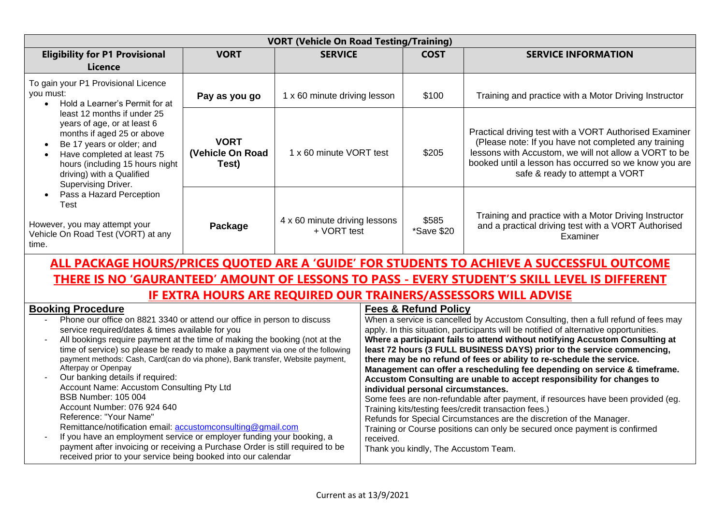| <b>VORT (Vehicle On Road Testing/Training)</b>                                                                                                                                                                                                                                                                                                                                                                                                                                                                                                                                                                                                                                                                                                                                                                                                                                                                       |                                          |                                              |           |                                                                                                               |                                                                                                                                                                                                                                                                                                                                                                                                                                                                                                                                                                                                                                                                                                                                                                                                                                                                         |
|----------------------------------------------------------------------------------------------------------------------------------------------------------------------------------------------------------------------------------------------------------------------------------------------------------------------------------------------------------------------------------------------------------------------------------------------------------------------------------------------------------------------------------------------------------------------------------------------------------------------------------------------------------------------------------------------------------------------------------------------------------------------------------------------------------------------------------------------------------------------------------------------------------------------|------------------------------------------|----------------------------------------------|-----------|---------------------------------------------------------------------------------------------------------------|-------------------------------------------------------------------------------------------------------------------------------------------------------------------------------------------------------------------------------------------------------------------------------------------------------------------------------------------------------------------------------------------------------------------------------------------------------------------------------------------------------------------------------------------------------------------------------------------------------------------------------------------------------------------------------------------------------------------------------------------------------------------------------------------------------------------------------------------------------------------------|
| <b>Eligibility for P1 Provisional</b>                                                                                                                                                                                                                                                                                                                                                                                                                                                                                                                                                                                                                                                                                                                                                                                                                                                                                | <b>VORT</b>                              | <b>SERVICE</b>                               |           | <b>COST</b>                                                                                                   | <b>SERVICE INFORMATION</b>                                                                                                                                                                                                                                                                                                                                                                                                                                                                                                                                                                                                                                                                                                                                                                                                                                              |
| <b>Licence</b>                                                                                                                                                                                                                                                                                                                                                                                                                                                                                                                                                                                                                                                                                                                                                                                                                                                                                                       |                                          |                                              |           |                                                                                                               |                                                                                                                                                                                                                                                                                                                                                                                                                                                                                                                                                                                                                                                                                                                                                                                                                                                                         |
| To gain your P1 Provisional Licence<br>you must:<br>Hold a Learner's Permit for at<br>$\bullet$<br>least 12 months if under 25<br>years of age, or at least 6<br>months if aged 25 or above<br>Be 17 years or older; and<br>Have completed at least 75<br>hours (including 15 hours night<br>driving) with a Qualified<br>Supervising Driver.                                                                                                                                                                                                                                                                                                                                                                                                                                                                                                                                                                        | Pay as you go                            | 1 x 60 minute driving lesson                 |           | \$100                                                                                                         | Training and practice with a Motor Driving Instructor                                                                                                                                                                                                                                                                                                                                                                                                                                                                                                                                                                                                                                                                                                                                                                                                                   |
|                                                                                                                                                                                                                                                                                                                                                                                                                                                                                                                                                                                                                                                                                                                                                                                                                                                                                                                      | <b>VORT</b><br>(Vehicle On Road<br>Test) | 1 x 60 minute VORT test                      |           | \$205                                                                                                         | Practical driving test with a VORT Authorised Examiner<br>(Please note: If you have not completed any training<br>lessons with Accustom, we will not allow a VORT to be<br>booked until a lesson has occurred so we know you are<br>safe & ready to attempt a VORT                                                                                                                                                                                                                                                                                                                                                                                                                                                                                                                                                                                                      |
| Pass a Hazard Perception<br>Test<br>However, you may attempt your<br>Vehicle On Road Test (VORT) at any<br>time.                                                                                                                                                                                                                                                                                                                                                                                                                                                                                                                                                                                                                                                                                                                                                                                                     | Package                                  | 4 x 60 minute driving lessons<br>+ VORT test |           | \$585<br>*Save \$20                                                                                           | Training and practice with a Motor Driving Instructor<br>and a practical driving test with a VORT Authorised<br>Examiner                                                                                                                                                                                                                                                                                                                                                                                                                                                                                                                                                                                                                                                                                                                                                |
| ALL PACKAGE HOURS/PRICES QUOTED ARE A 'GUIDE' FOR STUDENTS TO ACHIEVE A SUCCESSFUL OUTCOME                                                                                                                                                                                                                                                                                                                                                                                                                                                                                                                                                                                                                                                                                                                                                                                                                           |                                          |                                              |           |                                                                                                               |                                                                                                                                                                                                                                                                                                                                                                                                                                                                                                                                                                                                                                                                                                                                                                                                                                                                         |
| THERE IS NO 'GAURANTEED' AMOUNT OF LESSONS TO PASS - EVERY STUDENT'S SKILL LEVEL IS DIFFERENT                                                                                                                                                                                                                                                                                                                                                                                                                                                                                                                                                                                                                                                                                                                                                                                                                        |                                          |                                              |           |                                                                                                               |                                                                                                                                                                                                                                                                                                                                                                                                                                                                                                                                                                                                                                                                                                                                                                                                                                                                         |
| <b>IF EXTRA HOURS ARE REQUIRED OUR TRAINERS/ASSESSORS WILL ADVISE</b>                                                                                                                                                                                                                                                                                                                                                                                                                                                                                                                                                                                                                                                                                                                                                                                                                                                |                                          |                                              |           |                                                                                                               |                                                                                                                                                                                                                                                                                                                                                                                                                                                                                                                                                                                                                                                                                                                                                                                                                                                                         |
| <b>Booking Procedure</b><br>Phone our office on 8821 3340 or attend our office in person to discuss<br>service required/dates & times available for you<br>All bookings require payment at the time of making the booking (not at the<br>$\blacksquare$<br>time of service) so please be ready to make a payment via one of the following<br>payment methods: Cash, Card(can do via phone), Bank transfer, Website payment,<br>Afterpay or Openpay<br>Our banking details if required:<br>Account Name: Accustom Consulting Pty Ltd<br><b>BSB Number: 105 004</b><br>Account Number: 076 924 640<br>Reference: "Your Name"<br>Remittance/notification email: accustomconsulting@gmail.com<br>If you have an employment service or employer funding your booking, a<br>payment after invoicing or receiving a Purchase Order is still required to be<br>received prior to your service being booked into our calendar |                                          |                                              | received. | <b>Fees &amp; Refund Policy</b><br>individual personal circumstances.<br>Thank you kindly, The Accustom Team. | When a service is cancelled by Accustom Consulting, then a full refund of fees may<br>apply. In this situation, participants will be notified of alternative opportunities.<br>Where a participant fails to attend without notifying Accustom Consulting at<br>least 72 hours (3 FULL BUSINESS DAYS) prior to the service commencing,<br>there may be no refund of fees or ability to re-schedule the service.<br>Management can offer a rescheduling fee depending on service & timeframe.<br>Accustom Consulting are unable to accept responsibility for changes to<br>Some fees are non-refundable after payment, if resources have been provided (eg.<br>Training kits/testing fees/credit transaction fees.)<br>Refunds for Special Circumstances are the discretion of the Manager.<br>Training or Course positions can only be secured once payment is confirmed |